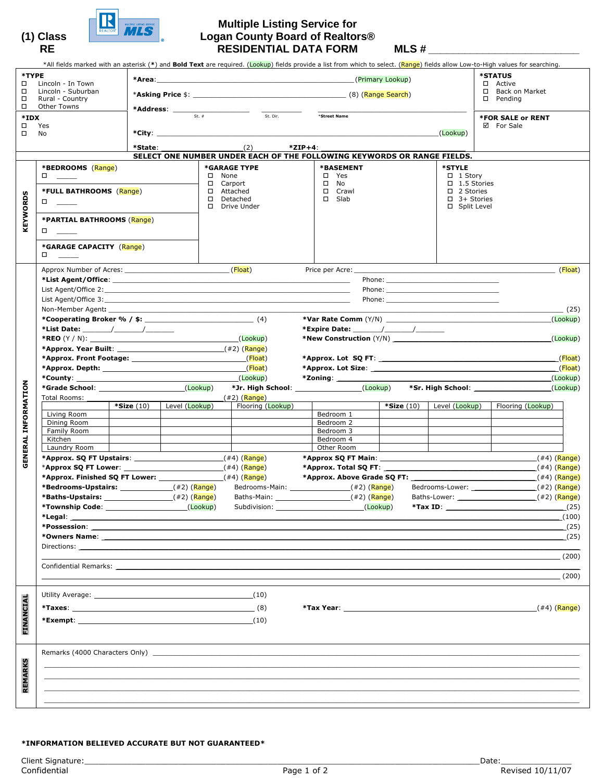

## **Multiple Listing Service for (1) Class Logan County Board of Realtors®**  RE RESIDENTIAL DATA FORM MLS #

| *TYPE<br>□<br>$\Box$<br>□<br>$\Box$<br>*IDX<br>□<br>□<br>KEYWORDS | Lincoln - In Town<br>Lincoln - Suburban<br>Rural - Country<br>Other Towns<br>Yes<br>No<br>*BEDROOMS (Range)<br>$\Box$<br>*FULL BATHROOMS (Range)<br>$\Box$<br>*PARTIAL BATHROOMS (Range)<br>$\Box$<br>*GARAGE CAPACITY (Range)                                                                                                                                                                                                                                                                                                                                                                                              |                           | $*State:$ (2) | $\square$ None<br>□ Carport<br>□ Attached<br>□ Detached | <b>*Address:</b> $\frac{1}{s}$ st. #<br>*GARAGE TYPE<br>□ Drive Under | $*ZIP+4$ : | *Street Name<br>SELECT ONE NUMBER UNDER EACH OF THE FOLLOWING KEYWORDS OR RANGE FIELDS.<br><b>*BASEMENT</b><br>$\square$ Yes<br>$\square$ No<br>□ Crawl<br>$\square$ Slab | (Primary Lookup) | (Lookup)<br>*STYLE<br>$\Box$ 1 Story<br>$\Box$ 1.5 Stories<br>$\Box$ 2 Stories<br>$\Box$ 3+ Stories<br>□ Split Level | *All fields marked with an asterisk (*) and Bold Text are required. (Lookup) fields provide a list from which to select. (Range) fields allow Low-to-High values for searching.<br><b>*STATUS</b><br>□ Active<br>□ Back on Market<br>$\square$ Pending<br><b>*FOR SALE or RENT</b><br>☑ For Sale |
|-------------------------------------------------------------------|-----------------------------------------------------------------------------------------------------------------------------------------------------------------------------------------------------------------------------------------------------------------------------------------------------------------------------------------------------------------------------------------------------------------------------------------------------------------------------------------------------------------------------------------------------------------------------------------------------------------------------|---------------------------|---------------|---------------------------------------------------------|-----------------------------------------------------------------------|------------|---------------------------------------------------------------------------------------------------------------------------------------------------------------------------|------------------|----------------------------------------------------------------------------------------------------------------------|--------------------------------------------------------------------------------------------------------------------------------------------------------------------------------------------------------------------------------------------------------------------------------------------------|
| <b>GENERAL INFORMATION</b>                                        | Non-Member Agent: Non-Member Agent:<br>*Approx. Year Built: $(42)$ $(Range)$<br>*Grade School: (Lookup)<br>Total Rooms: _____<br>Living Room<br>Dining Room<br>Family Room<br>Kitchen<br>Laundry Room<br>*Bedrooms-Upstairs: ________________(#2)(Range)<br>$*$ Possession: which is a set of $\mathcal{L}$ is a set of $\mathcal{L}$ is a set of $\mathcal{L}$ is a set of $\mathcal{L}$<br>Confidential Remarks: The contract of the contract of the contract of the contract of the contract of the contract of the contract of the contract of the contract of the contract of the contract of the contract of the cont | *Size (10) Level (Lookup) |               |                                                         | (Lookup)<br>$(42)$ (Range)<br>Flooring (Lookup)<br>Baths-Main:        |            | Bedroom 1<br>Bedroom 2<br>Bedroom 3<br>Bedroom 4<br>Other Room<br>(#2) (Range)<br>Subdivision: (Lookup)                                                                   | $*Size(10)$      | Level (Lookup)                                                                                                       | (Float)<br>(25)<br>(Lookup)<br>(Lookup)<br>(Float)<br>$($ Float)<br>(Lookup)<br>(Lookup)<br>Flooring (Lookup)<br>$(42)$ (Range)<br>$*$ Tax ID:<br>(25)<br>(100)<br>(25)<br>_(25)<br>(200)<br>(200)                                                                                               |
| FINANCIAL                                                         | Utility Average: will be a series of the series of the series of the series of the series of the series of the<br>*Exempt: $(10)$                                                                                                                                                                                                                                                                                                                                                                                                                                                                                           |                           |               |                                                         | (10)                                                                  |            |                                                                                                                                                                           |                  |                                                                                                                      | <b>*Tax Year:</b> $(44)(\text{Range})$                                                                                                                                                                                                                                                           |
| <b>REMARKS</b>                                                    |                                                                                                                                                                                                                                                                                                                                                                                                                                                                                                                                                                                                                             |                           |               |                                                         |                                                                       |            |                                                                                                                                                                           |                  |                                                                                                                      |                                                                                                                                                                                                                                                                                                  |

## \*INFORMATION BELIEVED ACCURATE BUT NOT GUARANTEED\*